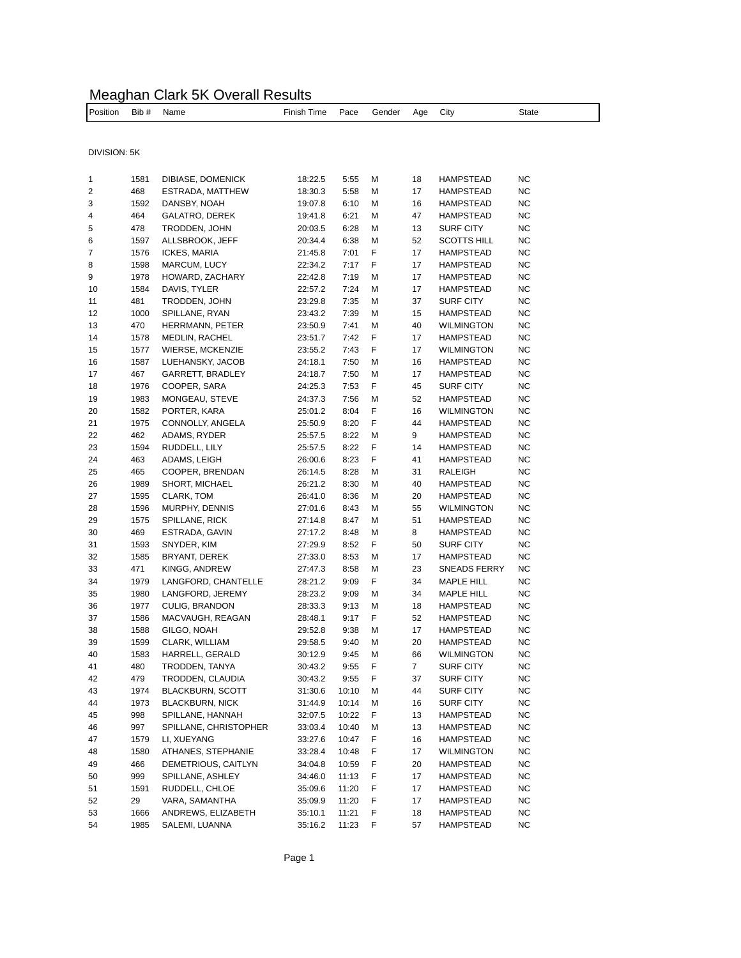## Meaghan Clark 5K Overall Results

Position Bib # Name Thish Time Pace Gender Age City State

| DIVISION: 5K |      |                         |         |       |   |    |                     |           |
|--------------|------|-------------------------|---------|-------|---|----|---------------------|-----------|
| 1            | 1581 | DIBIASE, DOMENICK       | 18:22.5 | 5:55  | М | 18 | <b>HAMPSTEAD</b>    | NC        |
| 2            | 468  | ESTRADA, MATTHEW        | 18:30.3 | 5:58  | М | 17 | HAMPSTEAD           | NC        |
| 3            | 1592 | DANSBY, NOAH            | 19:07.8 | 6:10  | М | 16 | HAMPSTEAD           | NC        |
| 4            | 464  | <b>GALATRO, DEREK</b>   | 19:41.8 | 6:21  | М | 47 | <b>HAMPSTEAD</b>    | NC        |
| 5            | 478  | TRODDEN, JOHN           | 20:03.5 | 6:28  | М | 13 | <b>SURF CITY</b>    | NC        |
| 6            | 1597 | ALLSBROOK, JEFF         | 20:34.4 | 6:38  | М | 52 | <b>SCOTTS HILL</b>  | NC        |
| 7            | 1576 | ICKES, MARIA            | 21:45.8 | 7:01  | F | 17 | <b>HAMPSTEAD</b>    | ΝC        |
| 8            | 1598 | MARCUM, LUCY            | 22:34.2 | 7:17  | F | 17 | HAMPSTEAD           | NC        |
| 9            | 1978 | HOWARD, ZACHARY         | 22:42.8 | 7:19  | М | 17 | <b>HAMPSTEAD</b>    | NC        |
| 10           | 1584 | DAVIS, TYLER            | 22:57.2 | 7:24  | М | 17 | <b>HAMPSTEAD</b>    | NC        |
| 11           | 481  | TRODDEN, JOHN           | 23:29.8 | 7:35  | М | 37 | <b>SURF CITY</b>    | NC        |
| 12           | 1000 | SPILLANE, RYAN          | 23:43.2 | 7:39  | М | 15 | <b>HAMPSTEAD</b>    | NC        |
| 13           | 470  | HERRMANN, PETER         | 23:50.9 | 7:41  | М | 40 | <b>WILMINGTON</b>   | NC        |
| 14           | 1578 | <b>MEDLIN, RACHEL</b>   | 23:51.7 | 7:42  | F | 17 | HAMPSTEAD           | ΝC        |
| 15           | 1577 | WIERSE, MCKENZIE        | 23:55.2 | 7:43  | F | 17 | <b>WILMINGTON</b>   | NC        |
| 16           | 1587 | LUEHANSKY, JACOB        | 24:18.1 | 7:50  | М | 16 | HAMPSTEAD           | NC        |
| 17           | 467  | GARRETT, BRADLEY        | 24:18.7 | 7:50  | М | 17 | HAMPSTEAD           | ΝC        |
| 18           | 1976 | COOPER, SARA            | 24:25.3 | 7:53  | F | 45 | <b>SURF CITY</b>    | NC        |
| 19           | 1983 | MONGEAU, STEVE          | 24:37.3 | 7:56  | М | 52 | <b>HAMPSTEAD</b>    | NC        |
| 20           | 1582 | PORTER, KARA            | 25:01.2 | 8:04  | F | 16 | <b>WILMINGTON</b>   | ΝC        |
| 21           | 1975 | CONNOLLY, ANGELA        | 25:50.9 | 8:20  | F | 44 | HAMPSTEAD           | ΝC        |
| 22           | 462  | ADAMS, RYDER            | 25:57.5 | 8:22  | М | 9  | HAMPSTEAD           | NC        |
| 23           | 1594 | RUDDELL, LILY           | 25:57.5 | 8:22  | F | 14 | <b>HAMPSTEAD</b>    | NC        |
| 24           | 463  | ADAMS, LEIGH            | 26:00.6 | 8:23  | F | 41 | <b>HAMPSTEAD</b>    | NC        |
| 25           | 465  | COOPER, BRENDAN         | 26:14.5 | 8:28  | М | 31 | <b>RALEIGH</b>      | NC        |
| 26           | 1989 | SHORT, MICHAEL          | 26:21.2 | 8:30  | М | 40 | <b>HAMPSTEAD</b>    | NC        |
| 27           | 1595 | CLARK, TOM              | 26:41.0 | 8:36  | М | 20 | HAMPSTEAD           | ΝC        |
| 28           | 1596 | MURPHY, DENNIS          | 27:01.6 | 8:43  | М | 55 | <b>WILMINGTON</b>   | NC        |
| 29           | 1575 | SPILLANE, RICK          | 27:14.8 | 8:47  | М | 51 | HAMPSTEAD           | ΝC        |
| 30           | 469  | ESTRADA, GAVIN          | 27:17.2 | 8:48  | М | 8  | HAMPSTEAD           | NC        |
| 31           | 1593 | SNYDER, KIM             | 27:29.9 | 8:52  | F | 50 | <b>SURF CITY</b>    | NC        |
| 32           | 1585 | BRYANT, DEREK           | 27:33.0 | 8:53  | М | 17 | <b>HAMPSTEAD</b>    | NC        |
| 33           | 471  | KINGG, ANDREW           | 27:47.3 | 8:58  | М | 23 | <b>SNEADS FERRY</b> | NC        |
| 34           | 1979 | LANGFORD, CHANTELLE     | 28:21.2 | 9:09  | F | 34 | <b>MAPLE HILL</b>   | NC        |
| 35           | 1980 | LANGFORD, JEREMY        | 28:23.2 | 9:09  | М | 34 | <b>MAPLE HILL</b>   | ΝC        |
| 36           | 1977 | CULIG, BRANDON          | 28:33.3 | 9:13  | М | 18 | HAMPSTEAD           | NC        |
| 37           | 1586 | MACVAUGH, REAGAN        | 28:48.1 | 9:17  | F | 52 | <b>HAMPSTEAD</b>    | NC        |
| 38           | 1588 | GILGO, NOAH             | 29:52.8 | 9:38  | М | 17 | HAMPSTEAD           | NC        |
| 39           | 1599 | CLARK, WILLIAM          | 29:58.5 | 9:40  | М | 20 | HAMPSTEAD           | NC        |
| 40           | 1583 | HARRELL, GERALD         | 30:12.9 | 9:45  | М | 66 | <b>WILMINGTON</b>   | ΝC        |
| 41           | 480  | TRODDEN, TANYA          | 30:43.2 | 9:55  | F | 7  | <b>SURF CITY</b>    | ΝC        |
| 42           | 479  | TRODDEN, CLAUDIA        | 30:43.2 | 9:55  | F | 37 | SURF CITY           | NC        |
| 43           | 1974 | <b>BLACKBURN, SCOTT</b> | 31:30.6 | 10:10 | M | 44 | <b>SURF CITY</b>    | NC        |
| 44           | 1973 | <b>BLACKBURN, NICK</b>  | 31:44.9 | 10:14 | М | 16 | SURF CITY           | NC        |
| 45           | 998  | SPILLANE, HANNAH        | 32:07.5 | 10:22 | F | 13 | HAMPSTEAD           | NC        |
| 46           | 997  | SPILLANE, CHRISTOPHER   | 33:03.4 | 10:40 | М | 13 | <b>HAMPSTEAD</b>    | NC        |
| 47           | 1579 | LI, XUEYANG             | 33:27.6 | 10:47 | F | 16 | HAMPSTEAD           | NC        |
| 48           | 1580 | ATHANES, STEPHANIE      | 33:28.4 | 10:48 | F | 17 | <b>WILMINGTON</b>   | NC        |
| 49           | 466  | DEMETRIOUS, CAITLYN     | 34:04.8 | 10:59 | F | 20 | HAMPSTEAD           | ΝC        |
| 50           | 999  | SPILLANE, ASHLEY        | 34:46.0 | 11:13 | F | 17 | HAMPSTEAD           | <b>NC</b> |
| 51           | 1591 | RUDDELL, CHLOE          | 35:09.6 | 11:20 | F | 17 | <b>HAMPSTEAD</b>    | ΝC        |
| 52           | 29   | VARA, SAMANTHA          | 35:09.9 | 11:20 | F | 17 | HAMPSTEAD           | ΝC        |
| 53           | 1666 | ANDREWS, ELIZABETH      | 35:10.1 | 11:21 | F | 18 | HAMPSTEAD           | NC        |
| 54           | 1985 | SALEMI, LUANNA          | 35:16.2 | 11:23 | F | 57 | HAMPSTEAD           | NC        |
|              |      |                         |         |       |   |    |                     |           |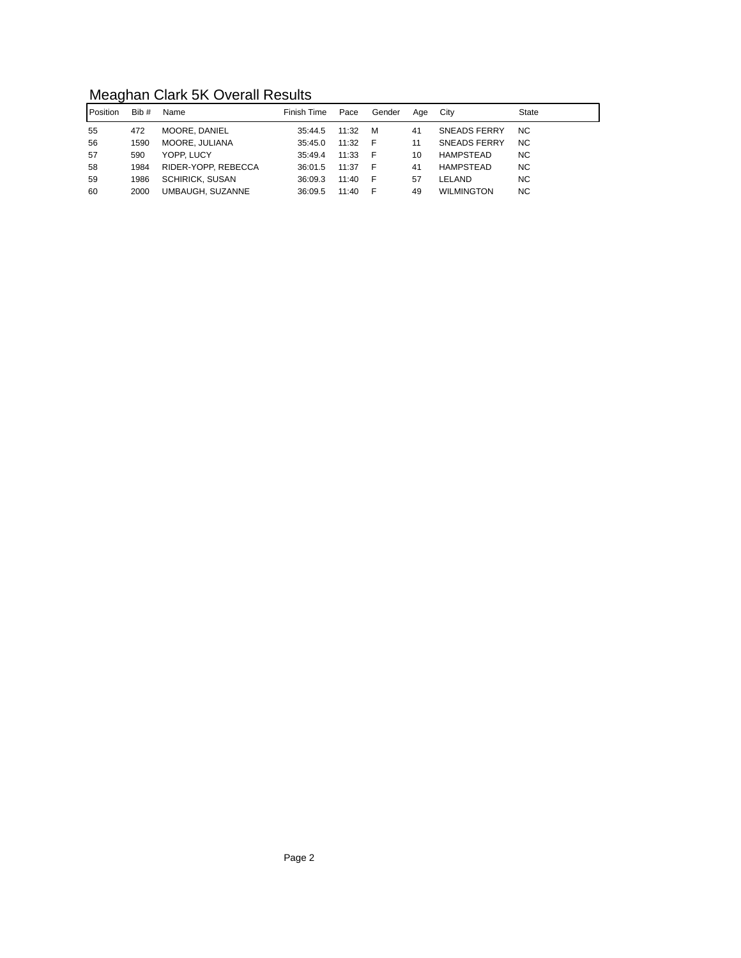## Meaghan Clark 5K Overall Results

| l Position | Bib # | Name                   | Finish Time | Pace  | Gender | Aae | City                | State     |
|------------|-------|------------------------|-------------|-------|--------|-----|---------------------|-----------|
| 55         | 472   | MOORE, DANIEL          | 35:44.5     | 11:32 | M      | 41  | <b>SNEADS FERRY</b> | <b>NC</b> |
| 56         | 1590  | MOORE. JULIANA         | 35:45.0     | 11:32 | - F    | 11  | <b>SNEADS FERRY</b> | <b>NC</b> |
| 57         | 590   | YOPP. LUCY             | 35:49.4     | 11:33 | - F    | 10  | HAMPSTEAD           | <b>NC</b> |
| 58         | 1984  | RIDER-YOPP, REBECCA    | 36:01.5     | 11:37 | - F    | 41  | HAMPSTEAD           | <b>NC</b> |
| 59         | 1986  | <b>SCHIRICK, SUSAN</b> | 36:09.3     | 11:40 | - F    | 57  | LELAND              | <b>NC</b> |
| 60         | 2000  | UMBAUGH, SUZANNE       | 36:09.5     | 11:40 | - F    | 49  | <b>WILMINGTON</b>   | <b>NC</b> |